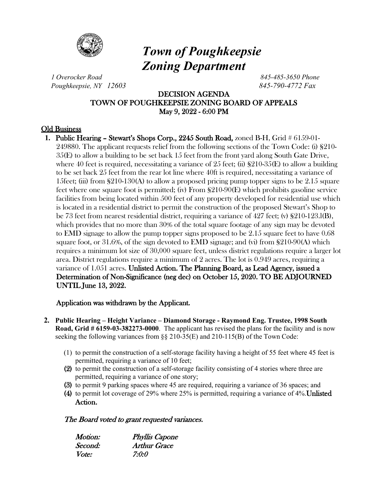

# *Town of Poughkeepsie Zoning Department*

*1 Overocker Road 845-485-3650 Phone Poughkeepsie, NY 12603 845-790-4772 Fax*

# DECISION AGENDA TOWN OF POUGHKEEPSIE ZONING BOARD OF APPEALS May 9, 2022 - 6:00 PM

# Old Business

**1.** Public Hearing – Stewart's Shops Corp., 2245 South Road, zoned B-H, Grid # 6159-01- 249880. The applicant requests relief from the following sections of the Town Code: (i) §210- 35(E) to allow a building to be set back 15 feet from the front yard along South Gate Drive, where 40 feet is required, necessitating a variance of 25 feet; (ii)  $\S210-35(E)$  to allow a building to be set back 25 feet from the rear lot line where 40ft is required, necessitating a variance of 15feet; (iii) from  $\S210-130(A)$  to allow a proposed pricing pump topper signs to be 2.15 square feet where one square foot is permitted; (iv) From §210-90(E) which prohibits gasoline service facilities from being located within 500 feet of any property developed for residential use which is located in a residential district to permit the construction of the proposed Stewart's Shop to be 73 feet from nearest residential district, requiring a variance of 427 feet; (v) §210-123.l(B), which provides that no more than 30% of the total square footage of any sign may be devoted to EMD signage to allow the pump topper signs proposed to be 2.15 square feet to have 0.68 square foot, or 31.6%, of the sign devoted to EMD signage; and (vi) from §210-90(A) which requires a minimum lot size of 30,000 square feet, unless district regulations require a larger lot area. District regulations require a minimum of 2 acres. The lot is 0.949 acres, requiring a variance of 1.051 acres. Unlisted Action. The Planning Board, as Lead Agency, issued a Determination of Non-Significance (neg dec) on October 15, 2020. TO BE ADJOURNED UNTIL June 13, 2022.

# Application was withdrawn by the Applicant.

- **2. Public Hearing – Height Variance – Diamond Storage - Raymond Eng. Trustee, 1998 South Road, Grid # 6159-03-382273-0000**. The applicant has revised the plans for the facility and is now seeking the following variances from  $\S$ § 210-35(E) and 210-115(B) of the Town Code:
	- (1) to permit the construction of a self-storage facility having a height of 55 feet where 45 feet is permitted, requiring a variance of 10 feet;
	- (2) to permit the construction of a self-storage facility consisting of 4 stories where three are permitted, requiring a variance of one story;
	- (3) to permit 9 parking spaces where 45 are required, requiring a variance of 36 spaces; and
	- (4) to permit lot coverage of 29% where 25% is permitted, requiring a variance of 4%.Unlisted Action.

# The Board voted to grant requested variances.

| <i>Motion:</i> | <b>Phyllis Capone</b> |
|----------------|-----------------------|
| Second:        | <b>Arthur Grace</b>   |
| <i>Vote:</i>   | 7:0:0                 |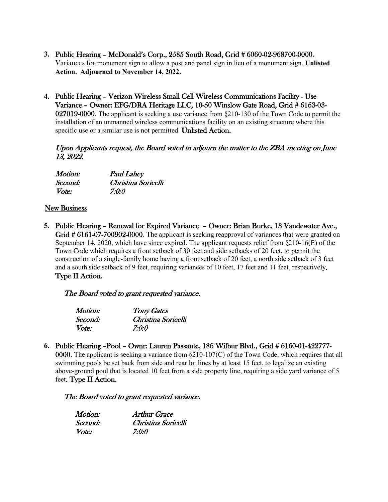- **3.** Public Hearing McDonald's Corp., 2585 South Road, Grid # 6060-02-968700-0000. Variances for monument sign to allow a post and panel sign in lieu of a monument sign. **Unlisted Action. Adjourned to November 14, 2022.**
- **4.** Public Hearing Verizon Wireless Small Cell Wireless Communications Facility Use Variance – Owner: EFG/DRA Heritage LLC, 10-50 Winslow Gate Road, Grid # 6163-03- 027019-0000. The applicant is seeking a use variance from §210-130 of the Town Code to permit the installation of an unmanned wireless communications facility on an existing structure where this specific use or a similar use is not permitted. Unlisted Action.

Upon Applicants request, the Board voted to adjourn the matter to the ZBA meeting on June 13, 2022.

| Motion: | <b>Paul Lahey</b>   |
|---------|---------------------|
| Second: | Christina Soricelli |
| Vote:   | 7:0:0               |

### New Business

**5.** Public Hearing – Renewal for Expired Variance – Owner: Brian Burke, 13 Vandewater Ave., Grid # 6161-07-700902-0000. The applicant is seeking reapproval of variances that were granted on September 14, 2020, which have since expired. The applicant requests relief from  $8210-16(E)$  of the Town Code which requires a front setback of 30 feet and side setbacks of 20 feet, to permit the construction of a single-family home having a front setback of 20 feet, a north side setback of 3 feet and a south side setback of 9 feet, requiring variances of 10 feet, 17 feet and 11 feet, respectively. Type II Action.

#### The Board voted to grant requested variance.

| <i>Motion:</i> | <b>Tony Gates</b>   |
|----------------|---------------------|
| Second:        | Christina Soricelli |
| Vote:          | 7:0:0               |

**6.** Public Hearing –Pool – Ownr: Lauren Passante, 186 Wilbur Blvd., Grid # 6160-01-422777- 0000. The applicant is seeking a variance from §210-107(C) of the Town Code, which requires that all swimming pools be set back from side and rear lot lines by at least 15 feet, to legalize an existing above-ground pool that is located 10 feet from a side property line, requiring a side yard variance of 5 feet. Type II Action.

#### The Board voted to grant requested variance.

| Motion:      | <b>Arthur Grace</b> |
|--------------|---------------------|
| Second:      | Christina Soricelli |
| <i>Vote:</i> | 7:0:0               |